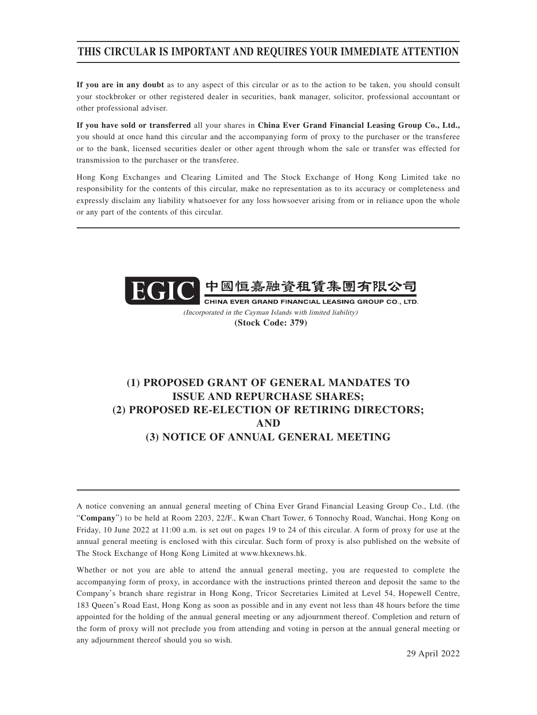## **THIS CIRCULAR IS IMPORTANT AND REQUIRES YOUR IMMEDIATE ATTENTION**

**If you are in any doubt** as to any aspect of this circular or as to the action to be taken, you should consult your stockbroker or other registered dealer in securities, bank manager, solicitor, professional accountant or other professional adviser.

**If you have sold or transferred** all your shares in **China Ever Grand Financial Leasing Group Co., Ltd.,** you should at once hand this circular and the accompanying form of proxy to the purchaser or the transferee or to the bank, licensed securities dealer or other agent through whom the sale or transfer was effected for transmission to the purchaser or the transferee.

Hong Kong Exchanges and Clearing Limited and The Stock Exchange of Hong Kong Limited take no responsibility for the contents of this circular, make no representation as to its accuracy or completeness and expressly disclaim any liability whatsoever for any loss howsoever arising from or in reliance upon the whole or any part of the contents of this circular.



(Incorporated in the Cayman Islands with limited liability) **(Stock Code: 379)**

# **(1) PROPOSED GRANT OF GENERAL MANDATES TO ISSUE AND REPURCHASE SHARES; (2) PROPOSED RE-ELECTION OF RETIRING DIRECTORS; AND (3) NOTICE OF ANNUAL GENERAL MEETING**

A notice convening an annual general meeting of China Ever Grand Financial Leasing Group Co., Ltd. (the "**Company**") to be held at Room 2203, 22/F., Kwan Chart Tower, 6 Tonnochy Road, Wanchai, Hong Kong on Friday, 10 June 2022 at 11:00 a.m. is set out on pages 19 to 24 of this circular. A form of proxy for use at the annual general meeting is enclosed with this circular. Such form of proxy is also published on the website of The Stock Exchange of Hong Kong Limited at www.hkexnews.hk.

Whether or not you are able to attend the annual general meeting, you are requested to complete the accompanying form of proxy, in accordance with the instructions printed thereon and deposit the same to the Company's branch share registrar in Hong Kong, Tricor Secretaries Limited at Level 54, Hopewell Centre, 183 Queen's Road East, Hong Kong as soon as possible and in any event not less than 48 hours before the time appointed for the holding of the annual general meeting or any adjournment thereof. Completion and return of the form of proxy will not preclude you from attending and voting in person at the annual general meeting or any adjournment thereof should you so wish.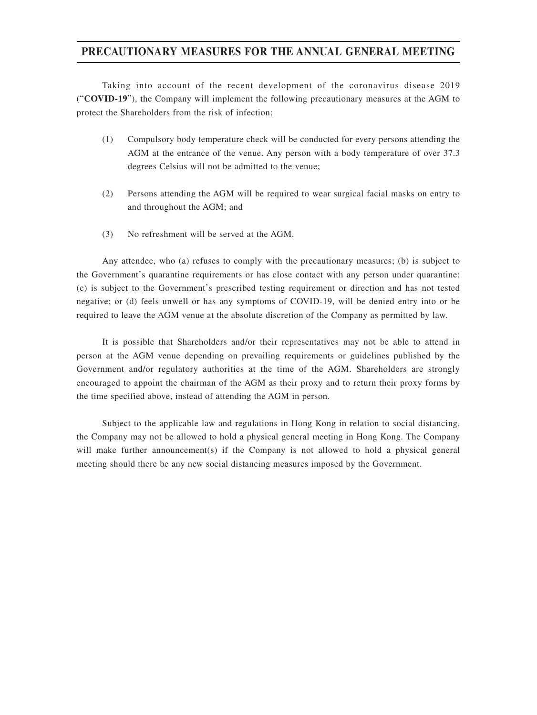## **PRECAUTIONARY MEASURES FOR THE ANNUAL GENERAL MEETING**

Taking into account of the recent development of the coronavirus disease 2019 ("**COVID-19**"), the Company will implement the following precautionary measures at the AGM to protect the Shareholders from the risk of infection:

- (1) Compulsory body temperature check will be conducted for every persons attending the AGM at the entrance of the venue. Any person with a body temperature of over 37.3 degrees Celsius will not be admitted to the venue;
- (2) Persons attending the AGM will be required to wear surgical facial masks on entry to and throughout the AGM; and
- (3) No refreshment will be served at the AGM.

Any attendee, who (a) refuses to comply with the precautionary measures; (b) is subject to the Government's quarantine requirements or has close contact with any person under quarantine; (c) is subject to the Government's prescribed testing requirement or direction and has not tested negative; or (d) feels unwell or has any symptoms of COVID-19, will be denied entry into or be required to leave the AGM venue at the absolute discretion of the Company as permitted by law.

It is possible that Shareholders and/or their representatives may not be able to attend in person at the AGM venue depending on prevailing requirements or guidelines published by the Government and/or regulatory authorities at the time of the AGM. Shareholders are strongly encouraged to appoint the chairman of the AGM as their proxy and to return their proxy forms by the time specified above, instead of attending the AGM in person.

Subject to the applicable law and regulations in Hong Kong in relation to social distancing, the Company may not be allowed to hold a physical general meeting in Hong Kong. The Company will make further announcement(s) if the Company is not allowed to hold a physical general meeting should there be any new social distancing measures imposed by the Government.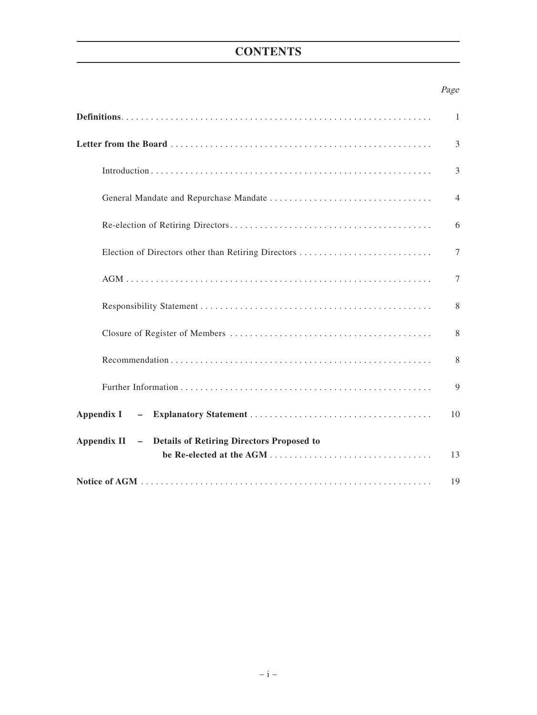# **CONTENTS**

## Page

|                                                         | $\mathbf{1}$   |
|---------------------------------------------------------|----------------|
|                                                         | 3              |
|                                                         | 3              |
|                                                         | $\overline{4}$ |
|                                                         | 6              |
|                                                         | $\tau$         |
|                                                         | 7              |
|                                                         | 8              |
|                                                         | 8              |
|                                                         | 8              |
|                                                         | 9              |
| Appendix I                                              | 10             |
| Appendix II - Details of Retiring Directors Proposed to |                |
|                                                         | 13             |
|                                                         | 19             |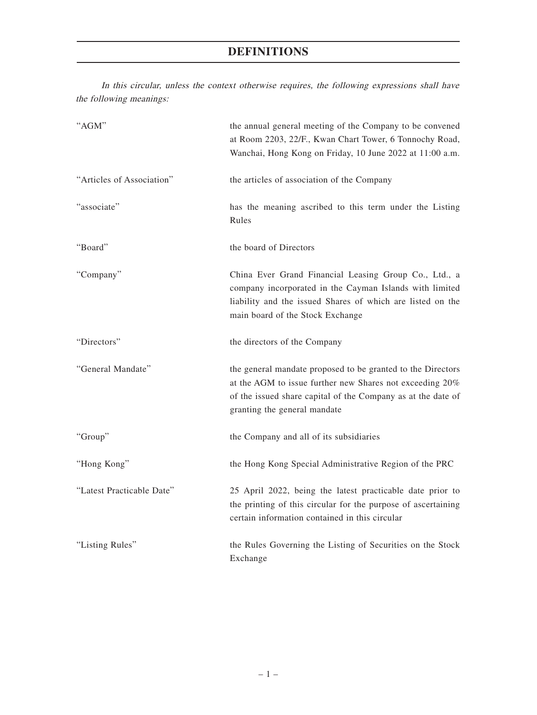# **DEFINITIONS**

In this circular, unless the context otherwise requires, the following expressions shall have the following meanings:

| "AGM"                     | the annual general meeting of the Company to be convened<br>at Room 2203, 22/F., Kwan Chart Tower, 6 Tonnochy Road,<br>Wanchai, Hong Kong on Friday, 10 June 2022 at 11:00 a.m.                                         |
|---------------------------|-------------------------------------------------------------------------------------------------------------------------------------------------------------------------------------------------------------------------|
| "Articles of Association" | the articles of association of the Company                                                                                                                                                                              |
| "associate"               | has the meaning ascribed to this term under the Listing<br>Rules                                                                                                                                                        |
| "Board"                   | the board of Directors                                                                                                                                                                                                  |
| "Company"                 | China Ever Grand Financial Leasing Group Co., Ltd., a<br>company incorporated in the Cayman Islands with limited<br>liability and the issued Shares of which are listed on the<br>main board of the Stock Exchange      |
| "Directors"               | the directors of the Company                                                                                                                                                                                            |
| "General Mandate"         | the general mandate proposed to be granted to the Directors<br>at the AGM to issue further new Shares not exceeding 20%<br>of the issued share capital of the Company as at the date of<br>granting the general mandate |
| "Group"                   | the Company and all of its subsidiaries                                                                                                                                                                                 |
| "Hong Kong"               | the Hong Kong Special Administrative Region of the PRC                                                                                                                                                                  |
| "Latest Practicable Date" | 25 April 2022, being the latest practicable date prior to<br>the printing of this circular for the purpose of ascertaining<br>certain information contained in this circular                                            |
| "Listing Rules"           | the Rules Governing the Listing of Securities on the Stock<br>Exchange                                                                                                                                                  |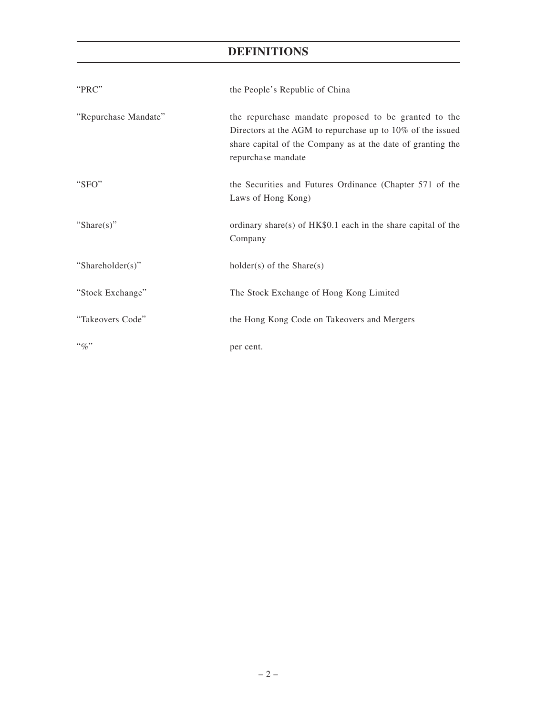# **DEFINITIONS**

| "PRC"                | the People's Republic of China                                                                                                                                                                             |
|----------------------|------------------------------------------------------------------------------------------------------------------------------------------------------------------------------------------------------------|
| "Repurchase Mandate" | the repurchase mandate proposed to be granted to the<br>Directors at the AGM to repurchase up to $10\%$ of the issued<br>share capital of the Company as at the date of granting the<br>repurchase mandate |
| "SFO"                | the Securities and Futures Ordinance (Chapter 571 of the<br>Laws of Hong Kong)                                                                                                                             |
| "Share $(s)$ "       | ordinary share(s) of HK\$0.1 each in the share capital of the<br>Company                                                                                                                                   |
| "Shareholder(s)"     | $holder(s)$ of the Share $(s)$                                                                                                                                                                             |
| "Stock Exchange"     | The Stock Exchange of Hong Kong Limited                                                                                                                                                                    |
| "Takeovers Code"     | the Hong Kong Code on Takeovers and Mergers                                                                                                                                                                |
| $``\%"$              | per cent.                                                                                                                                                                                                  |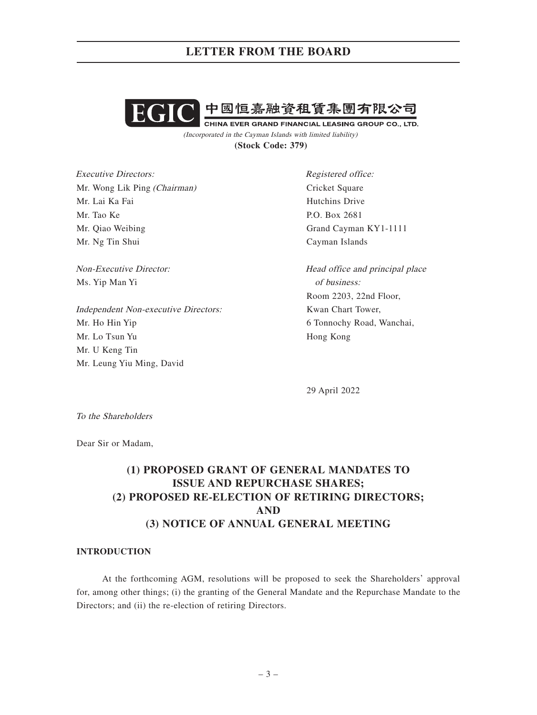

(Incorporated in the Cayman Islands with limited liability) **(Stock Code: 379)**

Executive Directors: Mr. Wong Lik Ping (Chairman) Mr. Lai Ka Fai Mr. Tao Ke Mr. Qiao Weibing Mr. Ng Tin Shui

Non-Executive Director: Ms. Yip Man Yi

Independent Non-executive Directors: Mr. Ho Hin Yip Mr. Lo Tsun Yu Mr. U Keng Tin Mr. Leung Yiu Ming, David

Registered office: Cricket Square Hutchins Drive P.O. Box 2681 Grand Cayman KY1-1111 Cayman Islands

Head office and principal place of business: Room 2203, 22nd Floor, Kwan Chart Tower, 6 Tonnochy Road, Wanchai, Hong Kong

29 April 2022

To the Shareholders

Dear Sir or Madam,

# **(1) PROPOSED GRANT OF GENERAL MANDATES TO ISSUE AND REPURCHASE SHARES; (2) PROPOSED RE-ELECTION OF RETIRING DIRECTORS; AND (3) NOTICE OF ANNUAL GENERAL MEETING**

### **INTRODUCTION**

At the forthcoming AGM, resolutions will be proposed to seek the Shareholders' approval for, among other things; (i) the granting of the General Mandate and the Repurchase Mandate to the Directors; and (ii) the re-election of retiring Directors.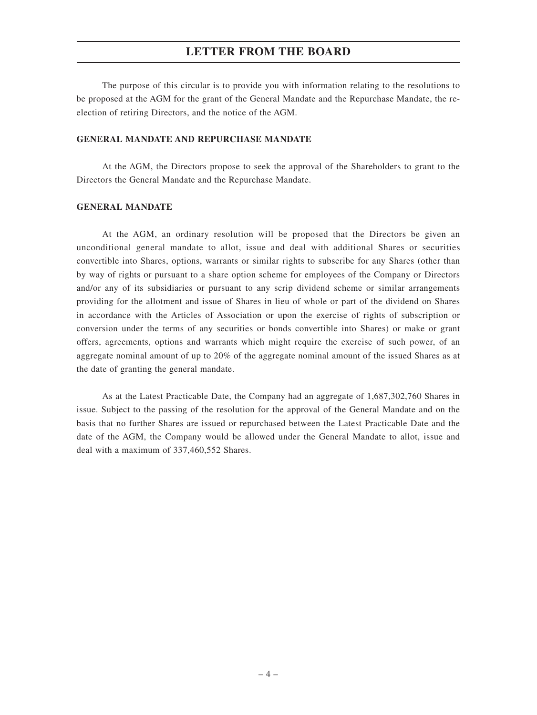The purpose of this circular is to provide you with information relating to the resolutions to be proposed at the AGM for the grant of the General Mandate and the Repurchase Mandate, the reelection of retiring Directors, and the notice of the AGM.

### **GENERAL MANDATE AND REPURCHASE MANDATE**

At the AGM, the Directors propose to seek the approval of the Shareholders to grant to the Directors the General Mandate and the Repurchase Mandate.

### **GENERAL MANDATE**

At the AGM, an ordinary resolution will be proposed that the Directors be given an unconditional general mandate to allot, issue and deal with additional Shares or securities convertible into Shares, options, warrants or similar rights to subscribe for any Shares (other than by way of rights or pursuant to a share option scheme for employees of the Company or Directors and/or any of its subsidiaries or pursuant to any scrip dividend scheme or similar arrangements providing for the allotment and issue of Shares in lieu of whole or part of the dividend on Shares in accordance with the Articles of Association or upon the exercise of rights of subscription or conversion under the terms of any securities or bonds convertible into Shares) or make or grant offers, agreements, options and warrants which might require the exercise of such power, of an aggregate nominal amount of up to 20% of the aggregate nominal amount of the issued Shares as at the date of granting the general mandate.

As at the Latest Practicable Date, the Company had an aggregate of 1,687,302,760 Shares in issue. Subject to the passing of the resolution for the approval of the General Mandate and on the basis that no further Shares are issued or repurchased between the Latest Practicable Date and the date of the AGM, the Company would be allowed under the General Mandate to allot, issue and deal with a maximum of 337,460,552 Shares.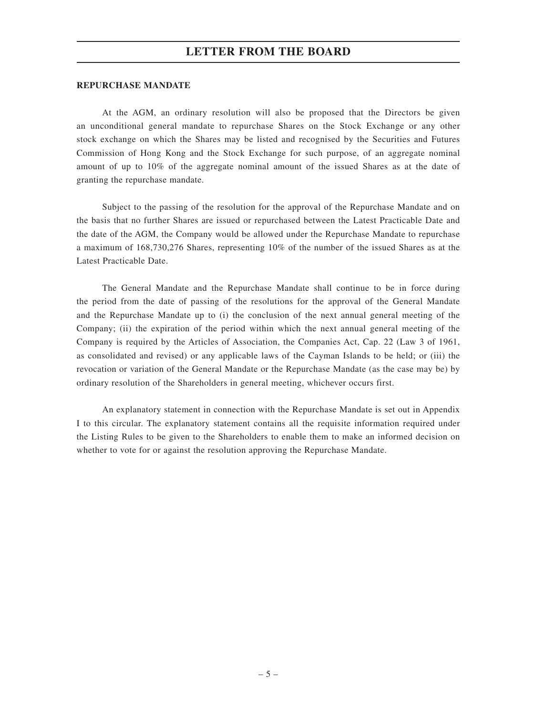### **REPURCHASE MANDATE**

At the AGM, an ordinary resolution will also be proposed that the Directors be given an unconditional general mandate to repurchase Shares on the Stock Exchange or any other stock exchange on which the Shares may be listed and recognised by the Securities and Futures Commission of Hong Kong and the Stock Exchange for such purpose, of an aggregate nominal amount of up to 10% of the aggregate nominal amount of the issued Shares as at the date of granting the repurchase mandate.

Subject to the passing of the resolution for the approval of the Repurchase Mandate and on the basis that no further Shares are issued or repurchased between the Latest Practicable Date and the date of the AGM, the Company would be allowed under the Repurchase Mandate to repurchase a maximum of 168,730,276 Shares, representing 10% of the number of the issued Shares as at the Latest Practicable Date.

The General Mandate and the Repurchase Mandate shall continue to be in force during the period from the date of passing of the resolutions for the approval of the General Mandate and the Repurchase Mandate up to (i) the conclusion of the next annual general meeting of the Company; (ii) the expiration of the period within which the next annual general meeting of the Company is required by the Articles of Association, the Companies Act, Cap. 22 (Law 3 of 1961, as consolidated and revised) or any applicable laws of the Cayman Islands to be held; or (iii) the revocation or variation of the General Mandate or the Repurchase Mandate (as the case may be) by ordinary resolution of the Shareholders in general meeting, whichever occurs first.

An explanatory statement in connection with the Repurchase Mandate is set out in Appendix I to this circular. The explanatory statement contains all the requisite information required under the Listing Rules to be given to the Shareholders to enable them to make an informed decision on whether to vote for or against the resolution approving the Repurchase Mandate.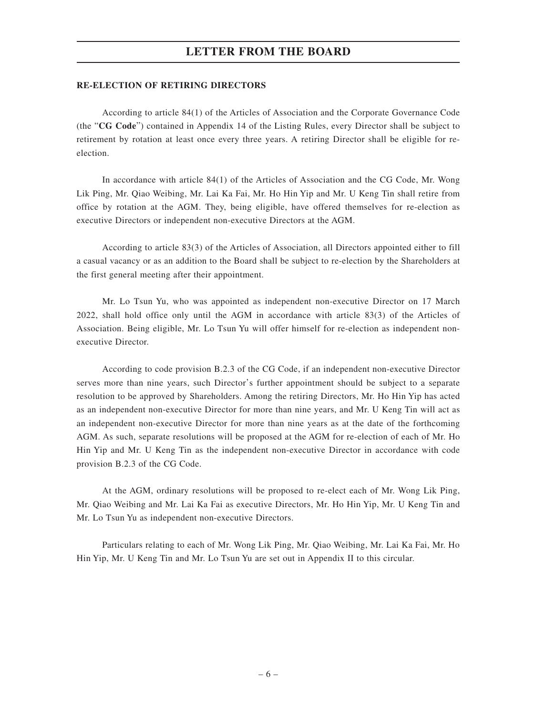### **RE-ELECTION OF RETIRING DIRECTORS**

According to article 84(1) of the Articles of Association and the Corporate Governance Code (the "**CG Code**") contained in Appendix 14 of the Listing Rules, every Director shall be subject to retirement by rotation at least once every three years. A retiring Director shall be eligible for reelection.

In accordance with article 84(1) of the Articles of Association and the CG Code, Mr. Wong Lik Ping, Mr. Qiao Weibing, Mr. Lai Ka Fai, Mr. Ho Hin Yip and Mr. U Keng Tin shall retire from office by rotation at the AGM. They, being eligible, have offered themselves for re-election as executive Directors or independent non-executive Directors at the AGM.

According to article 83(3) of the Articles of Association, all Directors appointed either to fill a casual vacancy or as an addition to the Board shall be subject to re-election by the Shareholders at the first general meeting after their appointment.

Mr. Lo Tsun Yu, who was appointed as independent non-executive Director on 17 March 2022, shall hold office only until the AGM in accordance with article 83(3) of the Articles of Association. Being eligible, Mr. Lo Tsun Yu will offer himself for re-election as independent nonexecutive Director.

According to code provision B.2.3 of the CG Code, if an independent non-executive Director serves more than nine years, such Director's further appointment should be subject to a separate resolution to be approved by Shareholders. Among the retiring Directors, Mr. Ho Hin Yip has acted as an independent non-executive Director for more than nine years, and Mr. U Keng Tin will act as an independent non-executive Director for more than nine years as at the date of the forthcoming AGM. As such, separate resolutions will be proposed at the AGM for re-election of each of Mr. Ho Hin Yip and Mr. U Keng Tin as the independent non-executive Director in accordance with code provision B.2.3 of the CG Code.

At the AGM, ordinary resolutions will be proposed to re-elect each of Mr. Wong Lik Ping, Mr. Qiao Weibing and Mr. Lai Ka Fai as executive Directors, Mr. Ho Hin Yip, Mr. U Keng Tin and Mr. Lo Tsun Yu as independent non-executive Directors.

Particulars relating to each of Mr. Wong Lik Ping, Mr. Qiao Weibing, Mr. Lai Ka Fai, Mr. Ho Hin Yip, Mr. U Keng Tin and Mr. Lo Tsun Yu are set out in Appendix II to this circular.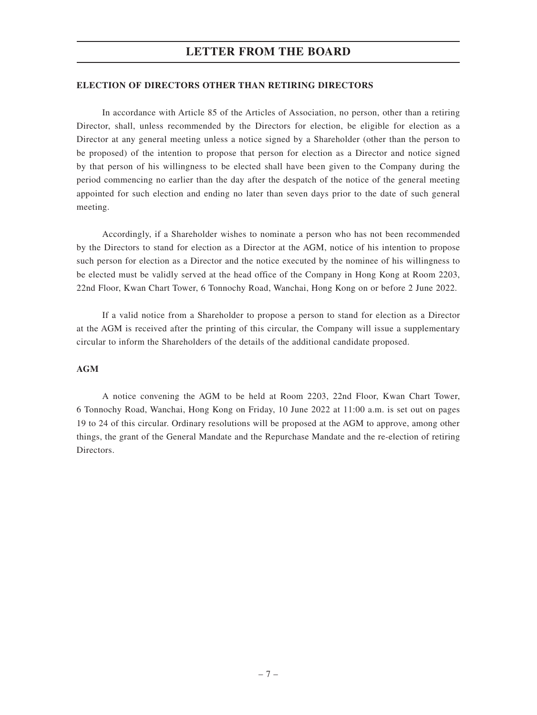### **ELECTION OF DIRECTORS OTHER THAN RETIRING DIRECTORS**

In accordance with Article 85 of the Articles of Association, no person, other than a retiring Director, shall, unless recommended by the Directors for election, be eligible for election as a Director at any general meeting unless a notice signed by a Shareholder (other than the person to be proposed) of the intention to propose that person for election as a Director and notice signed by that person of his willingness to be elected shall have been given to the Company during the period commencing no earlier than the day after the despatch of the notice of the general meeting appointed for such election and ending no later than seven days prior to the date of such general meeting.

Accordingly, if a Shareholder wishes to nominate a person who has not been recommended by the Directors to stand for election as a Director at the AGM, notice of his intention to propose such person for election as a Director and the notice executed by the nominee of his willingness to be elected must be validly served at the head office of the Company in Hong Kong at Room 2203, 22nd Floor, Kwan Chart Tower, 6 Tonnochy Road, Wanchai, Hong Kong on or before 2 June 2022.

If a valid notice from a Shareholder to propose a person to stand for election as a Director at the AGM is received after the printing of this circular, the Company will issue a supplementary circular to inform the Shareholders of the details of the additional candidate proposed.

### **AGM**

A notice convening the AGM to be held at Room 2203, 22nd Floor, Kwan Chart Tower, 6 Tonnochy Road, Wanchai, Hong Kong on Friday, 10 June 2022 at 11:00 a.m. is set out on pages 19 to 24 of this circular. Ordinary resolutions will be proposed at the AGM to approve, among other things, the grant of the General Mandate and the Repurchase Mandate and the re-election of retiring Directors.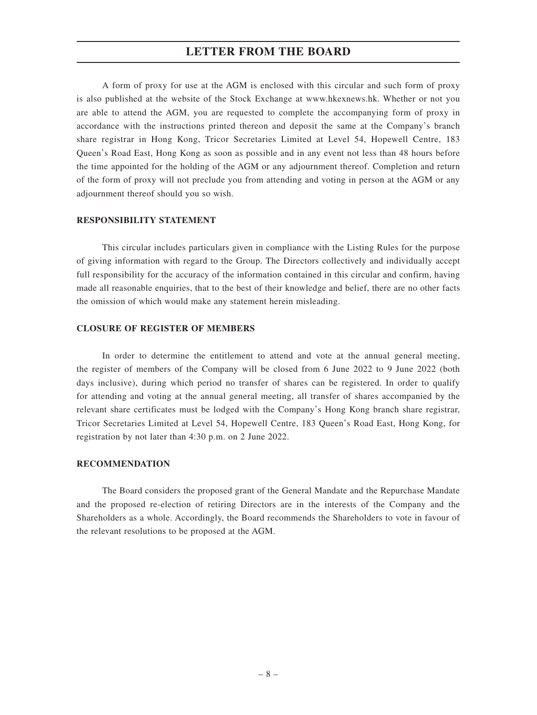A form of proxy for use at the AGM is enclosed with this circular and such form of proxy is also published at the website of the Stock Exchange at www.hkexnews.hk. Whether or not you are able to attend the AGM, you are requested to complete the accompanying form of proxy in accordance with the instructions printed thereon and deposit the same at the Company's branch share registrar in Hong Kong, Tricor Secretaries Limited at Level 54, Hopewell Centre, 183 Queen's Road East, Hong Kong as soon as possible and in any event not less than 48 hours before the time appointed for the holding of the AGM or any adjournment thereof. Completion and return of the form of proxy will not preclude you from attending and voting in person at the AGM or any adjournment thereof should you so wish.

### **RESPONSIBILITY STATEMENT**

This circular includes particulars given in compliance with the Listing Rules for the purpose of giving information with regard to the Group. The Directors collectively and individually accept full responsibility for the accuracy of the information contained in this circular and confirm, having made all reasonable enquiries, that to the best of their knowledge and belief, there are no other facts the omission of which would make any statement herein misleading.

### **CLOSURE OF REGISTER OF MEMBERS**

In order to determine the entitlement to attend and vote at the annual general meeting, the register of members of the Company will be closed from 6 June 2022 to 9 June 2022 (both days inclusive), during which period no transfer of shares can be registered. In order to qualify for attending and voting at the annual general meeting, all transfer of shares accompanied by the relevant share certificates must be lodged with the Company's Hong Kong branch share registrar, Tricor Secretaries Limited at Level 54, Hopewell Centre, 183 Queen's Road East, Hong Kong, for registration by not later than 4:30 p.m. on 2 June 2022.

### **RECOMMENDATION**

The Board considers the proposed grant of the General Mandate and the Repurchase Mandate and the proposed re-election of retiring Directors are in the interests of the Company and the Shareholders as a whole. Accordingly, the Board recommends the Shareholders to vote in favour of the relevant resolutions to be proposed at the AGM.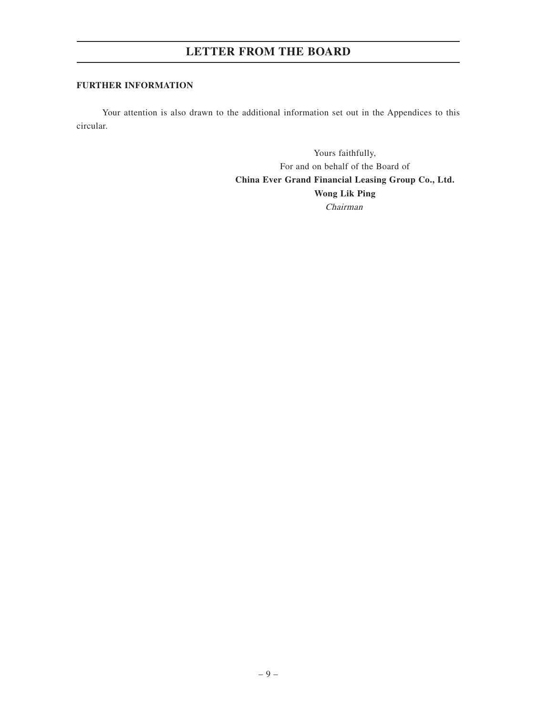### **FURTHER INFORMATION**

Your attention is also drawn to the additional information set out in the Appendices to this circular.

> Yours faithfully, For and on behalf of the Board of **China Ever Grand Financial Leasing Group Co., Ltd. Wong Lik Ping** Chairman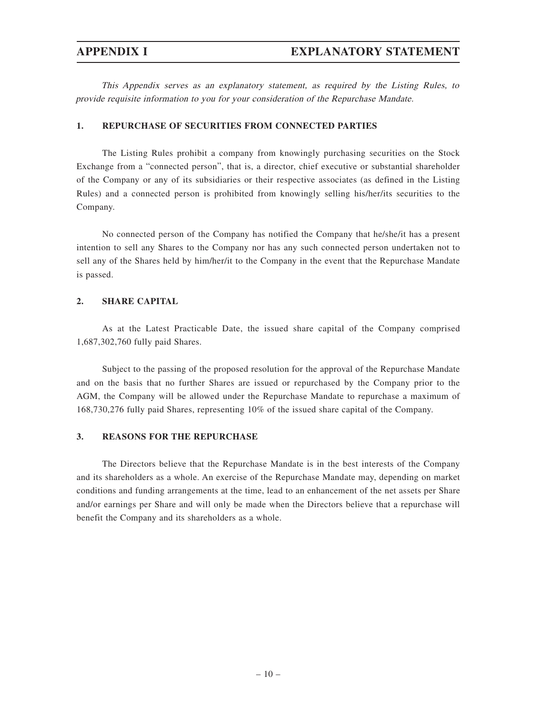This Appendix serves as an explanatory statement, as required by the Listing Rules, to provide requisite information to you for your consideration of the Repurchase Mandate.

### **1. REPURCHASE OF SECURITIES FROM CONNECTED PARTIES**

The Listing Rules prohibit a company from knowingly purchasing securities on the Stock Exchange from a "connected person", that is, a director, chief executive or substantial shareholder of the Company or any of its subsidiaries or their respective associates (as defined in the Listing Rules) and a connected person is prohibited from knowingly selling his/her/its securities to the Company.

No connected person of the Company has notified the Company that he/she/it has a present intention to sell any Shares to the Company nor has any such connected person undertaken not to sell any of the Shares held by him/her/it to the Company in the event that the Repurchase Mandate is passed.

### **2. SHARE CAPITAL**

As at the Latest Practicable Date, the issued share capital of the Company comprised 1,687,302,760 fully paid Shares.

Subject to the passing of the proposed resolution for the approval of the Repurchase Mandate and on the basis that no further Shares are issued or repurchased by the Company prior to the AGM, the Company will be allowed under the Repurchase Mandate to repurchase a maximum of 168,730,276 fully paid Shares, representing 10% of the issued share capital of the Company.

### **3. REASONS FOR THE REPURCHASE**

The Directors believe that the Repurchase Mandate is in the best interests of the Company and its shareholders as a whole. An exercise of the Repurchase Mandate may, depending on market conditions and funding arrangements at the time, lead to an enhancement of the net assets per Share and/or earnings per Share and will only be made when the Directors believe that a repurchase will benefit the Company and its shareholders as a whole.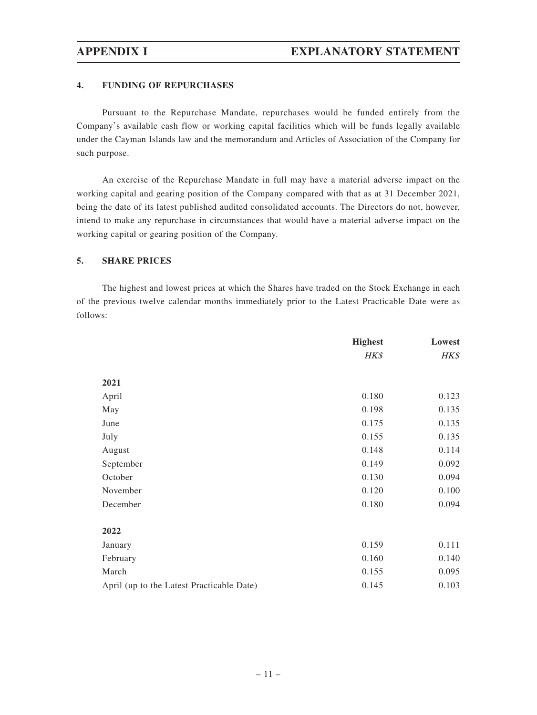### **4. FUNDING OF REPURCHASES**

Pursuant to the Repurchase Mandate, repurchases would be funded entirely from the Company's available cash flow or working capital facilities which will be funds legally available under the Cayman Islands law and the memorandum and Articles of Association of the Company for such purpose.

An exercise of the Repurchase Mandate in full may have a material adverse impact on the working capital and gearing position of the Company compared with that as at 31 December 2021, being the date of its latest published audited consolidated accounts. The Directors do not, however, intend to make any repurchase in circumstances that would have a material adverse impact on the working capital or gearing position of the Company.

### **5. SHARE PRICES**

The highest and lowest prices at which the Shares have traded on the Stock Exchange in each of the previous twelve calendar months immediately prior to the Latest Practicable Date were as follows:

|                                           | <b>Highest</b> | Lowest |
|-------------------------------------------|----------------|--------|
|                                           | HK\$           | HK\$   |
| 2021                                      |                |        |
| April                                     | 0.180          | 0.123  |
| May                                       | 0.198          | 0.135  |
| June                                      | 0.175          | 0.135  |
| July                                      | 0.155          | 0.135  |
| August                                    | 0.148          | 0.114  |
| September                                 | 0.149          | 0.092  |
| October                                   | 0.130          | 0.094  |
| November                                  | 0.120          | 0.100  |
| December                                  | 0.180          | 0.094  |
|                                           |                |        |
| 2022                                      |                |        |
| January                                   | 0.159          | 0.111  |
| February                                  | 0.160          | 0.140  |
| March                                     | 0.155          | 0.095  |
| April (up to the Latest Practicable Date) | 0.145          | 0.103  |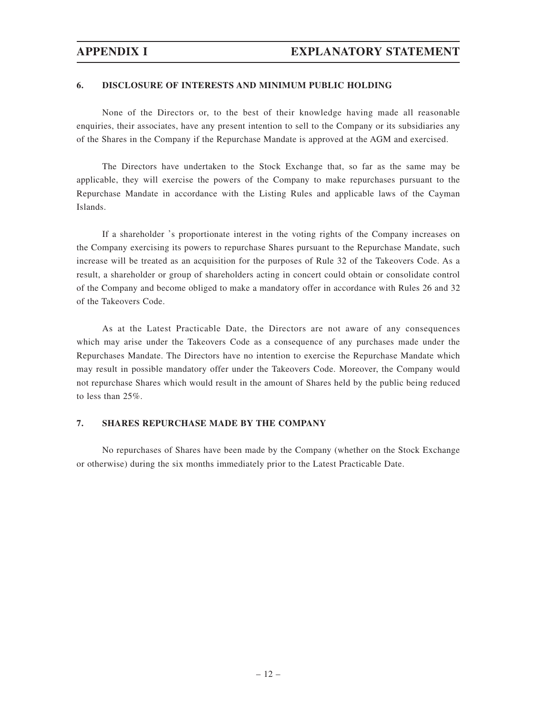### **6. DISCLOSURE OF INTERESTS AND MINIMUM PUBLIC HOLDING**

None of the Directors or, to the best of their knowledge having made all reasonable enquiries, their associates, have any present intention to sell to the Company or its subsidiaries any of the Shares in the Company if the Repurchase Mandate is approved at the AGM and exercised.

The Directors have undertaken to the Stock Exchange that, so far as the same may be applicable, they will exercise the powers of the Company to make repurchases pursuant to the Repurchase Mandate in accordance with the Listing Rules and applicable laws of the Cayman Islands.

If a shareholder 's proportionate interest in the voting rights of the Company increases on the Company exercising its powers to repurchase Shares pursuant to the Repurchase Mandate, such increase will be treated as an acquisition for the purposes of Rule 32 of the Takeovers Code. As a result, a shareholder or group of shareholders acting in concert could obtain or consolidate control of the Company and become obliged to make a mandatory offer in accordance with Rules 26 and 32 of the Takeovers Code.

As at the Latest Practicable Date, the Directors are not aware of any consequences which may arise under the Takeovers Code as a consequence of any purchases made under the Repurchases Mandate. The Directors have no intention to exercise the Repurchase Mandate which may result in possible mandatory offer under the Takeovers Code. Moreover, the Company would not repurchase Shares which would result in the amount of Shares held by the public being reduced to less than 25%.

### **7. SHARES REPURCHASE MADE BY THE COMPANY**

No repurchases of Shares have been made by the Company (whether on the Stock Exchange or otherwise) during the six months immediately prior to the Latest Practicable Date.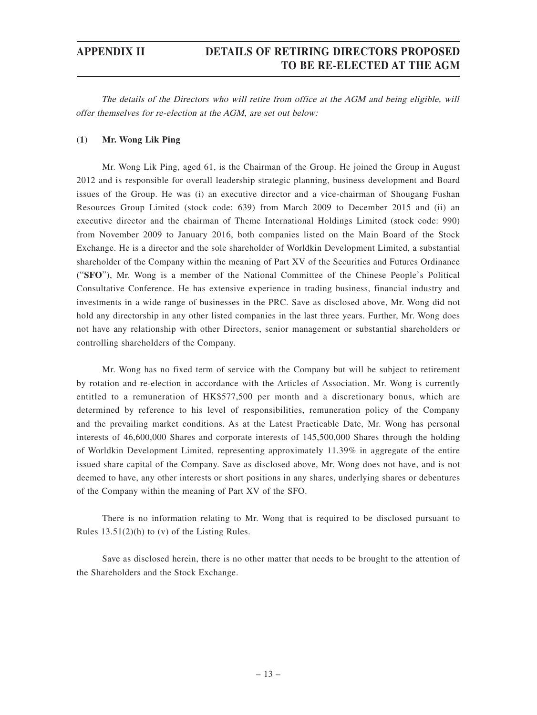The details of the Directors who will retire from office at the AGM and being eligible, will offer themselves for re-election at the AGM, are set out below:

### **(1) Mr. Wong Lik Ping**

Mr. Wong Lik Ping, aged 61, is the Chairman of the Group. He joined the Group in August 2012 and is responsible for overall leadership strategic planning, business development and Board issues of the Group. He was (i) an executive director and a vice-chairman of Shougang Fushan Resources Group Limited (stock code: 639) from March 2009 to December 2015 and (ii) an executive director and the chairman of Theme International Holdings Limited (stock code: 990) from November 2009 to January 2016, both companies listed on the Main Board of the Stock Exchange. He is a director and the sole shareholder of Worldkin Development Limited, a substantial shareholder of the Company within the meaning of Part XV of the Securities and Futures Ordinance ("**SFO**"), Mr. Wong is a member of the National Committee of the Chinese People's Political Consultative Conference. He has extensive experience in trading business, financial industry and investments in a wide range of businesses in the PRC. Save as disclosed above, Mr. Wong did not hold any directorship in any other listed companies in the last three years. Further, Mr. Wong does not have any relationship with other Directors, senior management or substantial shareholders or controlling shareholders of the Company.

Mr. Wong has no fixed term of service with the Company but will be subject to retirement by rotation and re-election in accordance with the Articles of Association. Mr. Wong is currently entitled to a remuneration of HK\$577,500 per month and a discretionary bonus, which are determined by reference to his level of responsibilities, remuneration policy of the Company and the prevailing market conditions. As at the Latest Practicable Date, Mr. Wong has personal interests of 46,600,000 Shares and corporate interests of 145,500,000 Shares through the holding of Worldkin Development Limited, representing approximately 11.39% in aggregate of the entire issued share capital of the Company. Save as disclosed above, Mr. Wong does not have, and is not deemed to have, any other interests or short positions in any shares, underlying shares or debentures of the Company within the meaning of Part XV of the SFO.

There is no information relating to Mr. Wong that is required to be disclosed pursuant to Rules 13.51(2)(h) to (v) of the Listing Rules.

Save as disclosed herein, there is no other matter that needs to be brought to the attention of the Shareholders and the Stock Exchange.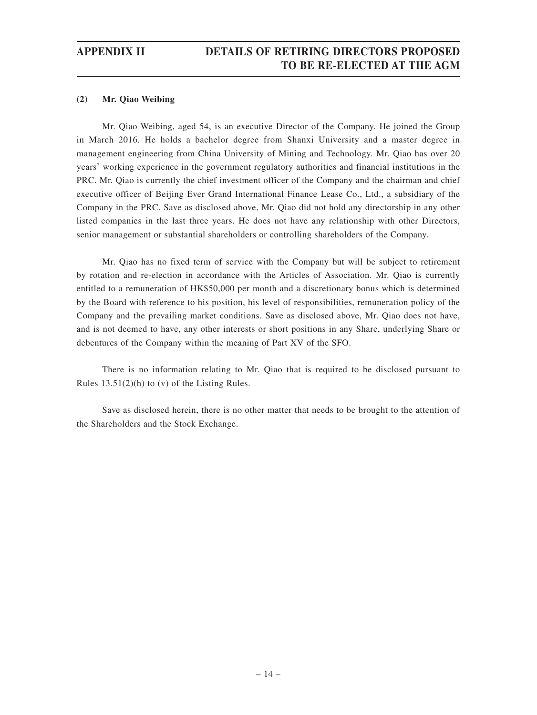### **(2) Mr. Qiao Weibing**

Mr. Qiao Weibing, aged 54, is an executive Director of the Company. He joined the Group in March 2016. He holds a bachelor degree from Shanxi University and a master degree in management engineering from China University of Mining and Technology. Mr. Qiao has over 20 years' working experience in the government regulatory authorities and financial institutions in the PRC. Mr. Qiao is currently the chief investment officer of the Company and the chairman and chief executive officer of Beijing Ever Grand International Finance Lease Co., Ltd., a subsidiary of the Company in the PRC. Save as disclosed above, Mr. Qiao did not hold any directorship in any other listed companies in the last three years. He does not have any relationship with other Directors, senior management or substantial shareholders or controlling shareholders of the Company.

Mr. Qiao has no fixed term of service with the Company but will be subject to retirement by rotation and re-election in accordance with the Articles of Association. Mr. Qiao is currently entitled to a remuneration of HK\$50,000 per month and a discretionary bonus which is determined by the Board with reference to his position, his level of responsibilities, remuneration policy of the Company and the prevailing market conditions. Save as disclosed above, Mr. Qiao does not have, and is not deemed to have, any other interests or short positions in any Share, underlying Share or debentures of the Company within the meaning of Part XV of the SFO.

There is no information relating to Mr. Qiao that is required to be disclosed pursuant to Rules 13.51(2)(h) to (v) of the Listing Rules.

Save as disclosed herein, there is no other matter that needs to be brought to the attention of the Shareholders and the Stock Exchange.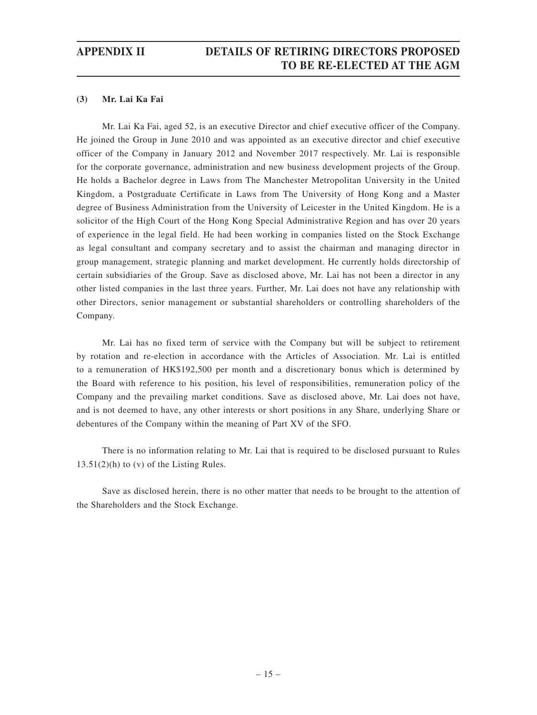### **(3) Mr. Lai Ka Fai**

Mr. Lai Ka Fai, aged 52, is an executive Director and chief executive officer of the Company. He joined the Group in June 2010 and was appointed as an executive director and chief executive officer of the Company in January 2012 and November 2017 respectively. Mr. Lai is responsible for the corporate governance, administration and new business development projects of the Group. He holds a Bachelor degree in Laws from The Manchester Metropolitan University in the United Kingdom, a Postgraduate Certificate in Laws from The University of Hong Kong and a Master degree of Business Administration from the University of Leicester in the United Kingdom. He is a solicitor of the High Court of the Hong Kong Special Administrative Region and has over 20 years of experience in the legal field. He had been working in companies listed on the Stock Exchange as legal consultant and company secretary and to assist the chairman and managing director in group management, strategic planning and market development. He currently holds directorship of certain subsidiaries of the Group. Save as disclosed above, Mr. Lai has not been a director in any other listed companies in the last three years. Further, Mr. Lai does not have any relationship with other Directors, senior management or substantial shareholders or controlling shareholders of the Company.

Mr. Lai has no fixed term of service with the Company but will be subject to retirement by rotation and re-election in accordance with the Articles of Association. Mr. Lai is entitled to a remuneration of HK\$192,500 per month and a discretionary bonus which is determined by the Board with reference to his position, his level of responsibilities, remuneration policy of the Company and the prevailing market conditions. Save as disclosed above, Mr. Lai does not have, and is not deemed to have, any other interests or short positions in any Share, underlying Share or debentures of the Company within the meaning of Part XV of the SFO.

There is no information relating to Mr. Lai that is required to be disclosed pursuant to Rules  $13.51(2)$ (h) to (v) of the Listing Rules.

Save as disclosed herein, there is no other matter that needs to be brought to the attention of the Shareholders and the Stock Exchange.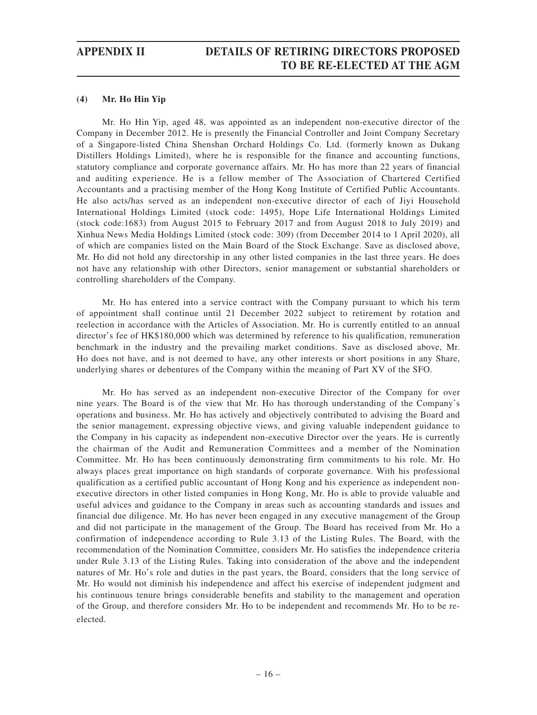### **(4) Mr. Ho Hin Yip**

Mr. Ho Hin Yip, aged 48, was appointed as an independent non-executive director of the Company in December 2012. He is presently the Financial Controller and Joint Company Secretary of a Singapore-listed China Shenshan Orchard Holdings Co. Ltd. (formerly known as Dukang Distillers Holdings Limited), where he is responsible for the finance and accounting functions, statutory compliance and corporate governance affairs. Mr. Ho has more than 22 years of financial and auditing experience. He is a fellow member of The Association of Chartered Certified Accountants and a practising member of the Hong Kong Institute of Certified Public Accountants. He also acts/has served as an independent non-executive director of each of Jiyi Household International Holdings Limited (stock code: 1495), Hope Life International Holdings Limited (stock code:1683) from August 2015 to February 2017 and from August 2018 to July 2019) and Xinhua News Media Holdings Limited (stock code: 309) (from December 2014 to 1 April 2020), all of which are companies listed on the Main Board of the Stock Exchange. Save as disclosed above, Mr. Ho did not hold any directorship in any other listed companies in the last three years. He does not have any relationship with other Directors, senior management or substantial shareholders or controlling shareholders of the Company.

Mr. Ho has entered into a service contract with the Company pursuant to which his term of appointment shall continue until 21 December 2022 subject to retirement by rotation and reelection in accordance with the Articles of Association. Mr. Ho is currently entitled to an annual director's fee of HK\$180,000 which was determined by reference to his qualification, remuneration benchmark in the industry and the prevailing market conditions. Save as disclosed above, Mr. Ho does not have, and is not deemed to have, any other interests or short positions in any Share, underlying shares or debentures of the Company within the meaning of Part XV of the SFO.

Mr. Ho has served as an independent non-executive Director of the Company for over nine years. The Board is of the view that Mr. Ho has thorough understanding of the Company's operations and business. Mr. Ho has actively and objectively contributed to advising the Board and the senior management, expressing objective views, and giving valuable independent guidance to the Company in his capacity as independent non-executive Director over the years. He is currently the chairman of the Audit and Remuneration Committees and a member of the Nomination Committee. Mr. Ho has been continuously demonstrating firm commitments to his role. Mr. Ho always places great importance on high standards of corporate governance. With his professional qualification as a certified public accountant of Hong Kong and his experience as independent nonexecutive directors in other listed companies in Hong Kong, Mr. Ho is able to provide valuable and useful advices and guidance to the Company in areas such as accounting standards and issues and financial due diligence. Mr. Ho has never been engaged in any executive management of the Group and did not participate in the management of the Group. The Board has received from Mr. Ho a confirmation of independence according to Rule 3.13 of the Listing Rules. The Board, with the recommendation of the Nomination Committee, considers Mr. Ho satisfies the independence criteria under Rule 3.13 of the Listing Rules. Taking into consideration of the above and the independent natures of Mr. Ho's role and duties in the past years, the Board, considers that the long service of Mr. Ho would not diminish his independence and affect his exercise of independent judgment and his continuous tenure brings considerable benefits and stability to the management and operation of the Group, and therefore considers Mr. Ho to be independent and recommends Mr. Ho to be reelected.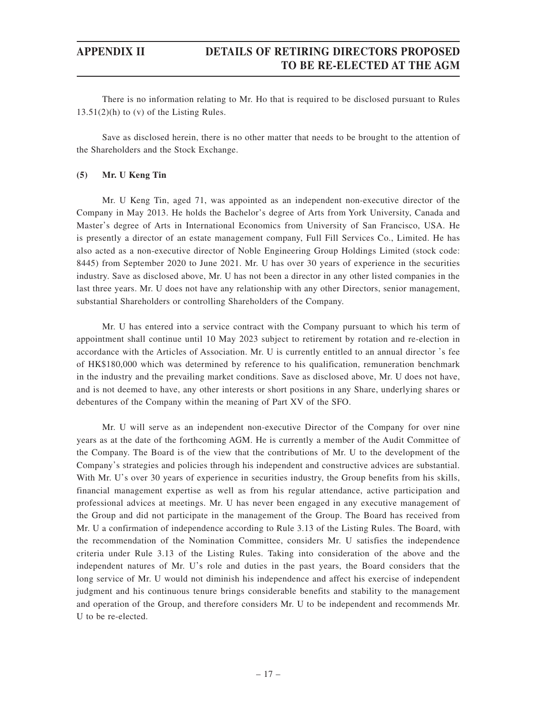There is no information relating to Mr. Ho that is required to be disclosed pursuant to Rules  $13.51(2)$ (h) to (v) of the Listing Rules.

Save as disclosed herein, there is no other matter that needs to be brought to the attention of the Shareholders and the Stock Exchange.

### **(5) Mr. U Keng Tin**

Mr. U Keng Tin, aged 71, was appointed as an independent non-executive director of the Company in May 2013. He holds the Bachelor's degree of Arts from York University, Canada and Master's degree of Arts in International Economics from University of San Francisco, USA. He is presently a director of an estate management company, Full Fill Services Co., Limited. He has also acted as a non-executive director of Noble Engineering Group Holdings Limited (stock code: 8445) from September 2020 to June 2021. Mr. U has over 30 years of experience in the securities industry. Save as disclosed above, Mr. U has not been a director in any other listed companies in the last three years. Mr. U does not have any relationship with any other Directors, senior management, substantial Shareholders or controlling Shareholders of the Company.

Mr. U has entered into a service contract with the Company pursuant to which his term of appointment shall continue until 10 May 2023 subject to retirement by rotation and re-election in accordance with the Articles of Association. Mr. U is currently entitled to an annual director 's fee of HK\$180,000 which was determined by reference to his qualification, remuneration benchmark in the industry and the prevailing market conditions. Save as disclosed above, Mr. U does not have, and is not deemed to have, any other interests or short positions in any Share, underlying shares or debentures of the Company within the meaning of Part XV of the SFO.

Mr. U will serve as an independent non-executive Director of the Company for over nine years as at the date of the forthcoming AGM. He is currently a member of the Audit Committee of the Company. The Board is of the view that the contributions of Mr. U to the development of the Company's strategies and policies through his independent and constructive advices are substantial. With Mr. U's over 30 years of experience in securities industry, the Group benefits from his skills, financial management expertise as well as from his regular attendance, active participation and professional advices at meetings. Mr. U has never been engaged in any executive management of the Group and did not participate in the management of the Group. The Board has received from Mr. U a confirmation of independence according to Rule 3.13 of the Listing Rules. The Board, with the recommendation of the Nomination Committee, considers Mr. U satisfies the independence criteria under Rule 3.13 of the Listing Rules. Taking into consideration of the above and the independent natures of Mr. U's role and duties in the past years, the Board considers that the long service of Mr. U would not diminish his independence and affect his exercise of independent judgment and his continuous tenure brings considerable benefits and stability to the management and operation of the Group, and therefore considers Mr. U to be independent and recommends Mr. U to be re-elected.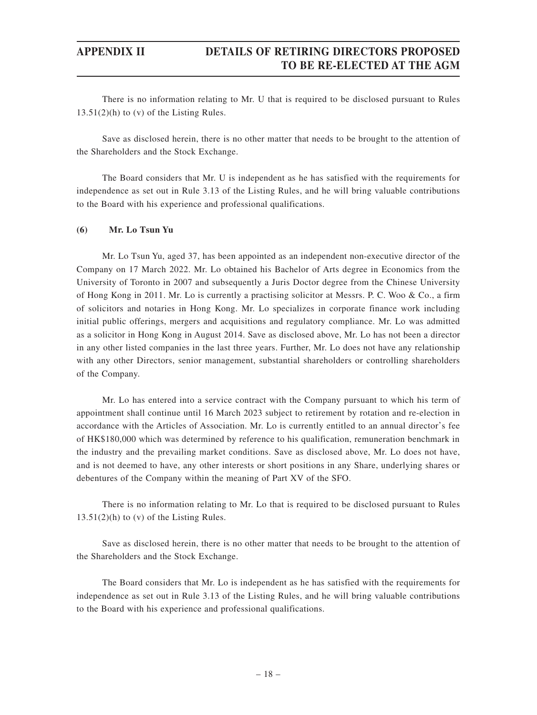There is no information relating to Mr. U that is required to be disclosed pursuant to Rules  $13.51(2)$ (h) to (v) of the Listing Rules.

Save as disclosed herein, there is no other matter that needs to be brought to the attention of the Shareholders and the Stock Exchange.

The Board considers that Mr. U is independent as he has satisfied with the requirements for independence as set out in Rule 3.13 of the Listing Rules, and he will bring valuable contributions to the Board with his experience and professional qualifications.

### **(6) Mr. Lo Tsun Yu**

Mr. Lo Tsun Yu, aged 37, has been appointed as an independent non-executive director of the Company on 17 March 2022. Mr. Lo obtained his Bachelor of Arts degree in Economics from the University of Toronto in 2007 and subsequently a Juris Doctor degree from the Chinese University of Hong Kong in 2011. Mr. Lo is currently a practising solicitor at Messrs. P. C. Woo & Co., a firm of solicitors and notaries in Hong Kong. Mr. Lo specializes in corporate finance work including initial public offerings, mergers and acquisitions and regulatory compliance. Mr. Lo was admitted as a solicitor in Hong Kong in August 2014. Save as disclosed above, Mr. Lo has not been a director in any other listed companies in the last three years. Further, Mr. Lo does not have any relationship with any other Directors, senior management, substantial shareholders or controlling shareholders of the Company.

Mr. Lo has entered into a service contract with the Company pursuant to which his term of appointment shall continue until 16 March 2023 subject to retirement by rotation and re-election in accordance with the Articles of Association. Mr. Lo is currently entitled to an annual director's fee of HK\$180,000 which was determined by reference to his qualification, remuneration benchmark in the industry and the prevailing market conditions. Save as disclosed above, Mr. Lo does not have, and is not deemed to have, any other interests or short positions in any Share, underlying shares or debentures of the Company within the meaning of Part XV of the SFO.

There is no information relating to Mr. Lo that is required to be disclosed pursuant to Rules  $13.51(2)(h)$  to (v) of the Listing Rules.

Save as disclosed herein, there is no other matter that needs to be brought to the attention of the Shareholders and the Stock Exchange.

The Board considers that Mr. Lo is independent as he has satisfied with the requirements for independence as set out in Rule 3.13 of the Listing Rules, and he will bring valuable contributions to the Board with his experience and professional qualifications.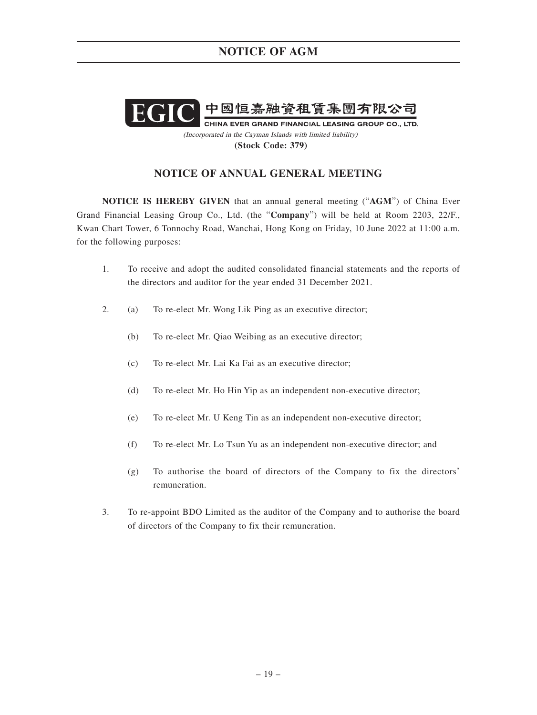

(Incorporated in the Cayman Islands with limited liability) **(Stock Code: 379)**

## **NOTICE OF ANNUAL GENERAL MEETING**

**NOTICE IS HEREBY GIVEN** that an annual general meeting ("**AGM**") of China Ever Grand Financial Leasing Group Co., Ltd. (the "**Company**") will be held at Room 2203, 22/F., Kwan Chart Tower, 6 Tonnochy Road, Wanchai, Hong Kong on Friday, 10 June 2022 at 11:00 a.m. for the following purposes:

- 1. To receive and adopt the audited consolidated financial statements and the reports of the directors and auditor for the year ended 31 December 2021.
- 2. (a) To re-elect Mr. Wong Lik Ping as an executive director;
	- (b) To re-elect Mr. Qiao Weibing as an executive director;
	- (c) To re-elect Mr. Lai Ka Fai as an executive director;
	- (d) To re-elect Mr. Ho Hin Yip as an independent non-executive director;
	- (e) To re-elect Mr. U Keng Tin as an independent non-executive director;
	- (f) To re-elect Mr. Lo Tsun Yu as an independent non-executive director; and
	- (g) To authorise the board of directors of the Company to fix the directors' remuneration.
- 3. To re-appoint BDO Limited as the auditor of the Company and to authorise the board of directors of the Company to fix their remuneration.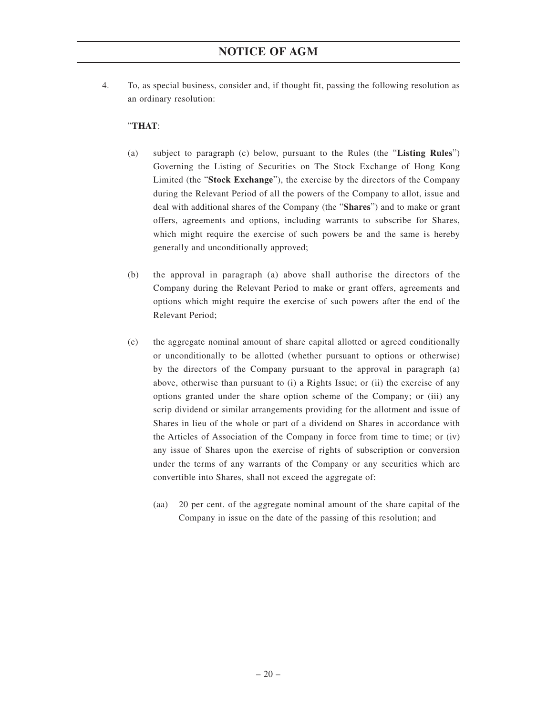4. To, as special business, consider and, if thought fit, passing the following resolution as an ordinary resolution:

### "**THAT**:

- (a) subject to paragraph (c) below, pursuant to the Rules (the "**Listing Rules**") Governing the Listing of Securities on The Stock Exchange of Hong Kong Limited (the "**Stock Exchange**"), the exercise by the directors of the Company during the Relevant Period of all the powers of the Company to allot, issue and deal with additional shares of the Company (the "**Shares**") and to make or grant offers, agreements and options, including warrants to subscribe for Shares, which might require the exercise of such powers be and the same is hereby generally and unconditionally approved;
- (b) the approval in paragraph (a) above shall authorise the directors of the Company during the Relevant Period to make or grant offers, agreements and options which might require the exercise of such powers after the end of the Relevant Period;
- (c) the aggregate nominal amount of share capital allotted or agreed conditionally or unconditionally to be allotted (whether pursuant to options or otherwise) by the directors of the Company pursuant to the approval in paragraph (a) above, otherwise than pursuant to (i) a Rights Issue; or (ii) the exercise of any options granted under the share option scheme of the Company; or (iii) any scrip dividend or similar arrangements providing for the allotment and issue of Shares in lieu of the whole or part of a dividend on Shares in accordance with the Articles of Association of the Company in force from time to time; or (iv) any issue of Shares upon the exercise of rights of subscription or conversion under the terms of any warrants of the Company or any securities which are convertible into Shares, shall not exceed the aggregate of:
	- (aa) 20 per cent. of the aggregate nominal amount of the share capital of the Company in issue on the date of the passing of this resolution; and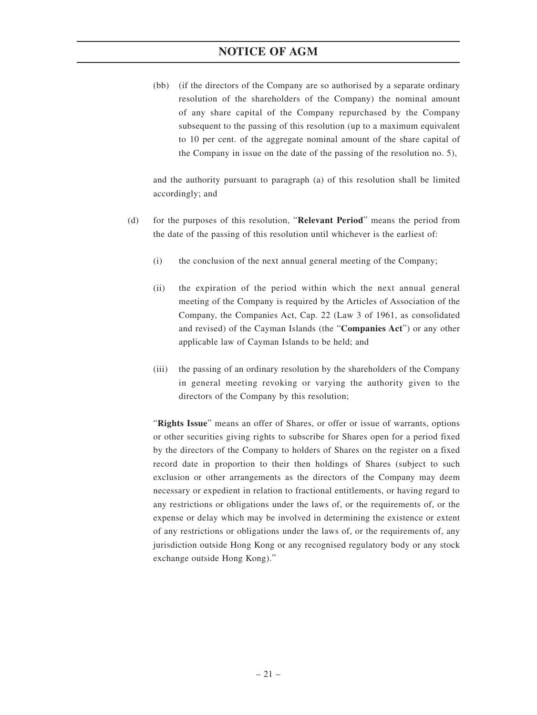(bb) (if the directors of the Company are so authorised by a separate ordinary resolution of the shareholders of the Company) the nominal amount of any share capital of the Company repurchased by the Company subsequent to the passing of this resolution (up to a maximum equivalent to 10 per cent. of the aggregate nominal amount of the share capital of the Company in issue on the date of the passing of the resolution no. 5),

and the authority pursuant to paragraph (a) of this resolution shall be limited accordingly; and

- (d) for the purposes of this resolution, "**Relevant Period**" means the period from the date of the passing of this resolution until whichever is the earliest of:
	- (i) the conclusion of the next annual general meeting of the Company;
	- (ii) the expiration of the period within which the next annual general meeting of the Company is required by the Articles of Association of the Company, the Companies Act, Cap. 22 (Law 3 of 1961, as consolidated and revised) of the Cayman Islands (the "**Companies Act**") or any other applicable law of Cayman Islands to be held; and
	- (iii) the passing of an ordinary resolution by the shareholders of the Company in general meeting revoking or varying the authority given to the directors of the Company by this resolution;

"**Rights Issue**" means an offer of Shares, or offer or issue of warrants, options or other securities giving rights to subscribe for Shares open for a period fixed by the directors of the Company to holders of Shares on the register on a fixed record date in proportion to their then holdings of Shares (subject to such exclusion or other arrangements as the directors of the Company may deem necessary or expedient in relation to fractional entitlements, or having regard to any restrictions or obligations under the laws of, or the requirements of, or the expense or delay which may be involved in determining the existence or extent of any restrictions or obligations under the laws of, or the requirements of, any jurisdiction outside Hong Kong or any recognised regulatory body or any stock exchange outside Hong Kong)."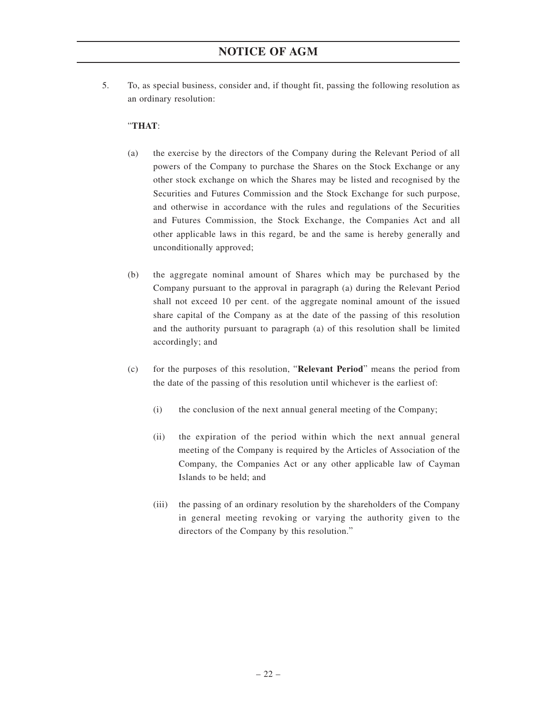5. To, as special business, consider and, if thought fit, passing the following resolution as an ordinary resolution:

### "**THAT**:

- (a) the exercise by the directors of the Company during the Relevant Period of all powers of the Company to purchase the Shares on the Stock Exchange or any other stock exchange on which the Shares may be listed and recognised by the Securities and Futures Commission and the Stock Exchange for such purpose, and otherwise in accordance with the rules and regulations of the Securities and Futures Commission, the Stock Exchange, the Companies Act and all other applicable laws in this regard, be and the same is hereby generally and unconditionally approved;
- (b) the aggregate nominal amount of Shares which may be purchased by the Company pursuant to the approval in paragraph (a) during the Relevant Period shall not exceed 10 per cent. of the aggregate nominal amount of the issued share capital of the Company as at the date of the passing of this resolution and the authority pursuant to paragraph (a) of this resolution shall be limited accordingly; and
- (c) for the purposes of this resolution, "**Relevant Period**" means the period from the date of the passing of this resolution until whichever is the earliest of:
	- (i) the conclusion of the next annual general meeting of the Company;
	- (ii) the expiration of the period within which the next annual general meeting of the Company is required by the Articles of Association of the Company, the Companies Act or any other applicable law of Cayman Islands to be held; and
	- (iii) the passing of an ordinary resolution by the shareholders of the Company in general meeting revoking or varying the authority given to the directors of the Company by this resolution."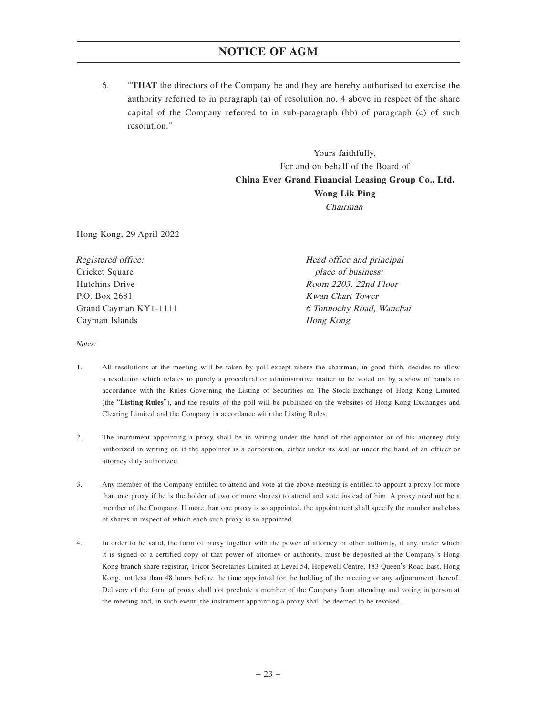6. "**THAT** the directors of the Company be and they are hereby authorised to exercise the authority referred to in paragraph (a) of resolution no. 4 above in respect of the share capital of the Company referred to in sub-paragraph (bb) of paragraph (c) of such resolution."

> Yours faithfully, For and on behalf of the Board of **China Ever Grand Financial Leasing Group Co., Ltd. Wong Lik Ping** Chairman

Hong Kong, 29 April 2022

| Registered office:    | Head office and principal |  |
|-----------------------|---------------------------|--|
| Cricket Square        | place of business:        |  |
| Hutchins Drive        | Room 2203, 22nd Floor     |  |
| P.O. Box 2681         | <b>Kwan Chart Tower</b>   |  |
| Grand Cayman KY1-1111 | 6 Tonnochy Road, Wanchai  |  |
| Cayman Islands        | Hong Kong                 |  |

Notes:

- 1. All resolutions at the meeting will be taken by poll except where the chairman, in good faith, decides to allow a resolution which relates to purely a procedural or administrative matter to be voted on by a show of hands in accordance with the Rules Governing the Listing of Securities on The Stock Exchange of Hong Kong Limited (the "**Listing Rules**"), and the results of the poll will be published on the websites of Hong Kong Exchanges and Clearing Limited and the Company in accordance with the Listing Rules.
- 2. The instrument appointing a proxy shall be in writing under the hand of the appointor or of his attorney duly authorized in writing or, if the appointor is a corporation, either under its seal or under the hand of an officer or attorney duly authorized.
- 3. Any member of the Company entitled to attend and vote at the above meeting is entitled to appoint a proxy (or more than one proxy if he is the holder of two or more shares) to attend and vote instead of him. A proxy need not be a member of the Company. If more than one proxy is so appointed, the appointment shall specify the number and class of shares in respect of which each such proxy is so appointed.
- 4. In order to be valid, the form of proxy together with the power of attorney or other authority, if any, under which it is signed or a certified copy of that power of attorney or authority, must be deposited at the Company's Hong Kong branch share registrar, Tricor Secretaries Limited at Level 54, Hopewell Centre, 183 Queen's Road East, Hong Kong, not less than 48 hours before the time appointed for the holding of the meeting or any adjournment thereof. Delivery of the form of proxy shall not preclude a member of the Company from attending and voting in person at the meeting and, in such event, the instrument appointing a proxy shall be deemed to be revoked.